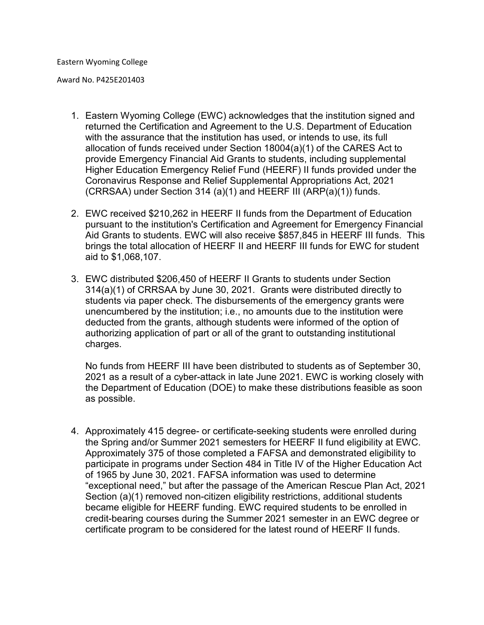Award No. P425E201403

- 1. Eastern Wyoming College (EWC) acknowledges that the institution signed and returned the Certification and Agreement to the U.S. Department of Education with the assurance that the institution has used, or intends to use, its full allocation of funds received under Section 18004(a)(1) of the CARES Act to provide Emergency Financial Aid Grants to students, including supplemental Higher Education Emergency Relief Fund (HEERF) II funds provided under the Coronavirus Response and Relief Supplemental Appropriations Act, 2021 (CRRSAA) under Section 314 (a)(1) and HEERF III (ARP(a)(1)) funds.
- 2. EWC received \$210,262 in HEERF II funds from the Department of Education pursuant to the institution's Certification and Agreement for Emergency Financial Aid Grants to students. EWC will also receive \$857,845 in HEERF III funds. This brings the total allocation of HEERF II and HEERF III funds for EWC for student aid to \$1,068,107.
- 3. EWC distributed \$206,450 of HEERF II Grants to students under Section 314(a)(1) of CRRSAA by June 30, 2021. Grants were distributed directly to students via paper check. The disbursements of the emergency grants were unencumbered by the institution; i.e., no amounts due to the institution were deducted from the grants, although students were informed of the option of authorizing application of part or all of the grant to outstanding institutional charges.

No funds from HEERF III have been distributed to students as of September 30, 2021 as a result of a cyber-attack in late June 2021. EWC is working closely with the Department of Education (DOE) to make these distributions feasible as soon as possible.

4. Approximately 415 degree- or certificate-seeking students were enrolled during the Spring and/or Summer 2021 semesters for HEERF II fund eligibility at EWC. Approximately 375 of those completed a FAFSA and demonstrated eligibility to participate in programs under Section 484 in Title IV of the Higher Education Act of 1965 by June 30, 2021. FAFSA information was used to determine "exceptional need," but after the passage of the American Rescue Plan Act, 2021 Section (a)(1) removed non-citizen eligibility restrictions, additional students became eligible for HEERF funding. EWC required students to be enrolled in credit-bearing courses during the Summer 2021 semester in an EWC degree or certificate program to be considered for the latest round of HEERF II funds.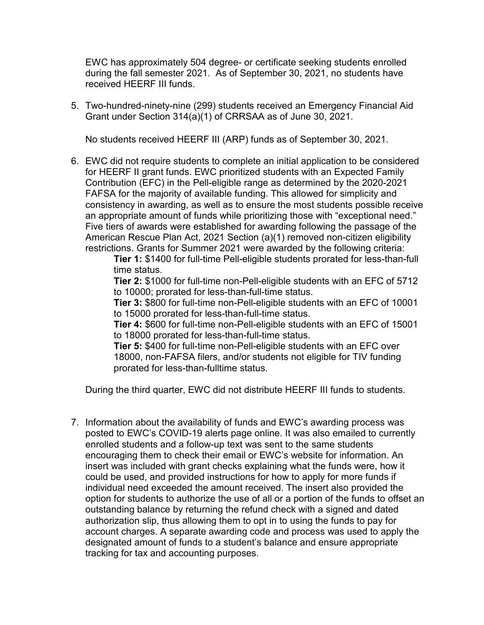EWC has approximately 504 degree- or certificate seeking students enrolled during the fall semester 2021. As of September 30, 2021, no students have received HEERF III funds.

5. Two-hundred-ninety-nine (299) students received an Emergency Financial Aid Grant under Section 314(a)(1) of CRRSAA as of June 30, 2021.

No students received HEERF III (ARP) funds as of September 30, 2021.

6. EWC did not require students to complete an initial application to be considered for HEERF II grant funds. EWC prioritized students with an Expected Family Contribution (EFC) in the Pell-eligible range as determined by the 2020-2021 FAFSA for the majority of available funding. This allowed for simplicity and consistency in awarding, as well as to ensure the most students possible receive an appropriate amount of funds while prioritizing those with "exceptional need." Five tiers of awards were established for awarding following the passage of the American Rescue Plan Act, 2021 Section (a)(1) removed non-citizen eligibility restrictions. Grants for Summer 2021 were awarded by the following criteria:

> **Tier 1:** \$1400 for full-time Pell-eligible students prorated for less-than-full time status.

> **Tier 2:** \$1000 for full-time non-Pell-eligible students with an EFC of 5712 to 10000; prorated for less-than-full-time status.

> **Tier 3:** \$800 for full-time non-Pell-eligible students with an EFC of 10001 to 15000 prorated for less-than-full-time status.

> **Tier 4:** \$600 for full-time non-Pell-eligible students with an EFC of 15001 to 18000 prorated for less-than-full-time status.

**Tier 5:** \$400 for full-time non-Pell-eligible students with an EFC over 18000, non-FAFSA filers, and/or students not eligible for TIV funding prorated for less-than-fulltime status.

During the third quarter, EWC did not distribute HEERF III funds to students.

7. Information about the availability of funds and EWC's awarding process was posted to EWC's COVID-19 alerts page online. It was also emailed to currently enrolled students and a follow-up text was sent to the same students encouraging them to check their email or EWC's website for information. An insert was included with grant checks explaining what the funds were, how it could be used, and provided instructions for how to apply for more funds if individual need exceeded the amount received. The insert also provided the option for students to authorize the use of all or a portion of the funds to offset an outstanding balance by returning the refund check with a signed and dated authorization slip, thus allowing them to opt in to using the funds to pay for account charges. A separate awarding code and process was used to apply the designated amount of funds to a student's balance and ensure appropriate tracking for tax and accounting purposes.